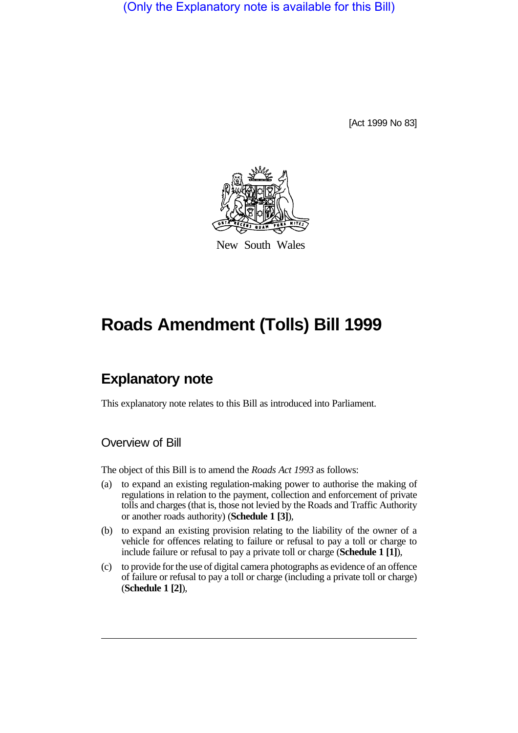(Only the Explanatory note is available for this Bill)

[Act 1999 No 83]



New South Wales

## **Roads Amendment (Tolls) Bill 1999**

## **Explanatory note**

This explanatory note relates to this Bill as introduced into Parliament.

## Overview of Bill

The object of this Bill is to amend the *Roads Act 1993* as follows:

- (a) to expand an existing regulation-making power to authorise the making of regulations in relation to the payment, collection and enforcement of private tolls and charges (that is, those not levied by the Roads and Traffic Authority or another roads authority) (**Schedule 1 [3]**),
- (b) to expand an existing provision relating to the liability of the owner of a vehicle for offences relating to failure or refusal to pay a toll or charge to include failure or refusal to pay a private toll or charge (**Schedule 1 [1]**),
- (c) to provide for the use of digital camera photographs as evidence of an offence of failure or refusal to pay a toll or charge (including a private toll or charge) (**Schedule 1 [2]**),